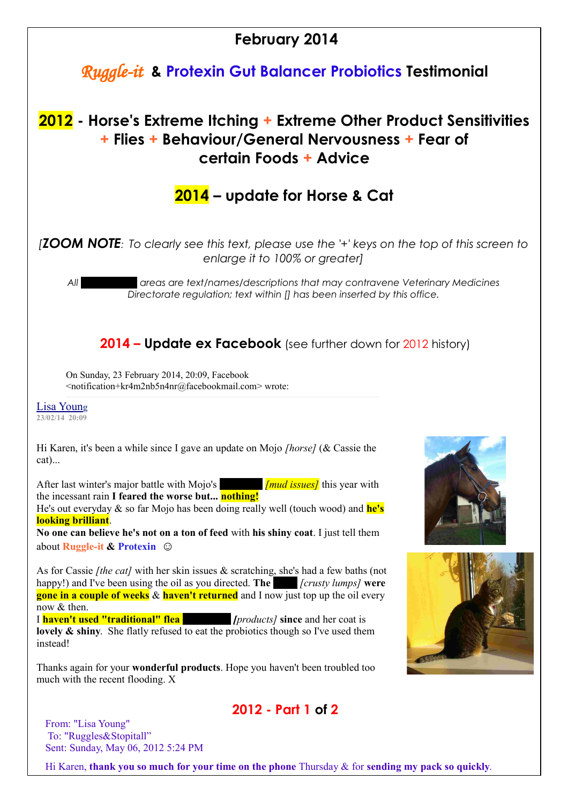